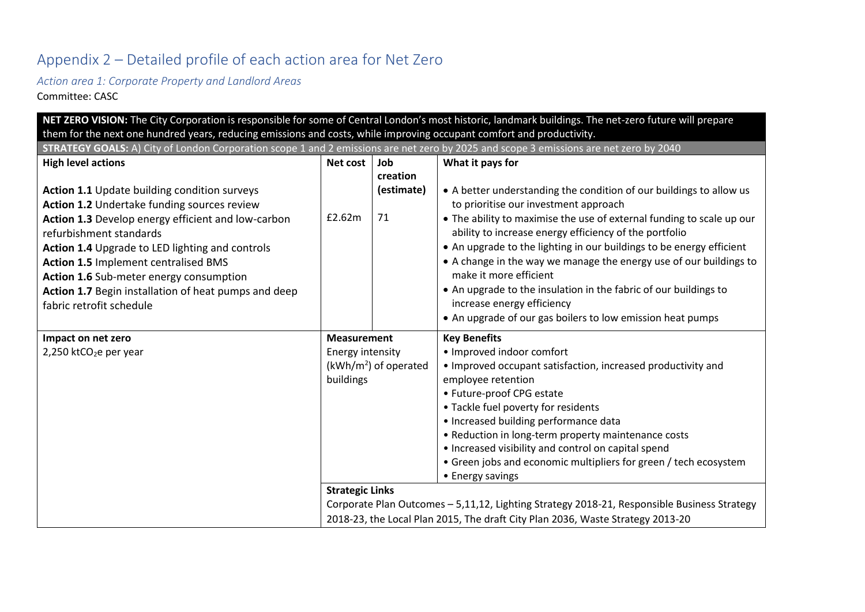# Appendix 2 – Detailed profile of each action area for Net Zero

*Action area 1: Corporate Property and Landlord Areas*

Committee: CASC

| NET ZERO VISION: The City Corporation is responsible for some of Central London's most historic, landmark buildings. The net-zero future will prepare |                                                                                |                        |                                                                                                                                 |  |  |  |
|-------------------------------------------------------------------------------------------------------------------------------------------------------|--------------------------------------------------------------------------------|------------------------|---------------------------------------------------------------------------------------------------------------------------------|--|--|--|
| them for the next one hundred years, reducing emissions and costs, while improving occupant comfort and productivity.                                 |                                                                                |                        |                                                                                                                                 |  |  |  |
| STRATEGY GOALS: A) City of London Corporation scope 1 and 2 emissions are net zero by 2025 and scope 3 emissions are net zero by 2040                 |                                                                                |                        |                                                                                                                                 |  |  |  |
| <b>High level actions</b>                                                                                                                             | Net cost                                                                       | Job                    | What it pays for                                                                                                                |  |  |  |
|                                                                                                                                                       |                                                                                | creation               |                                                                                                                                 |  |  |  |
| Action 1.1 Update building condition surveys<br>Action 1.2 Undertake funding sources review                                                           |                                                                                | (estimate)             | • A better understanding the condition of our buildings to allow us<br>to prioritise our investment approach                    |  |  |  |
| Action 1.3 Develop energy efficient and low-carbon<br>refurbishment standards                                                                         | £2.62m                                                                         | 71                     | . The ability to maximise the use of external funding to scale up our<br>ability to increase energy efficiency of the portfolio |  |  |  |
| Action 1.4 Upgrade to LED lighting and controls                                                                                                       |                                                                                |                        | • An upgrade to the lighting in our buildings to be energy efficient                                                            |  |  |  |
| <b>Action 1.5 Implement centralised BMS</b><br>Action 1.6 Sub-meter energy consumption                                                                |                                                                                |                        | • A change in the way we manage the energy use of our buildings to<br>make it more efficient                                    |  |  |  |
| Action 1.7 Begin installation of heat pumps and deep                                                                                                  |                                                                                |                        | • An upgrade to the insulation in the fabric of our buildings to                                                                |  |  |  |
| fabric retrofit schedule                                                                                                                              |                                                                                |                        | increase energy efficiency                                                                                                      |  |  |  |
|                                                                                                                                                       |                                                                                |                        | • An upgrade of our gas boilers to low emission heat pumps                                                                      |  |  |  |
| Impact on net zero                                                                                                                                    | <b>Measurement</b>                                                             |                        | <b>Key Benefits</b>                                                                                                             |  |  |  |
| 2,250 ktCO <sub>2</sub> e per year                                                                                                                    | Energy intensity                                                               |                        | • Improved indoor comfort                                                                                                       |  |  |  |
|                                                                                                                                                       |                                                                                | $(kWh/m2)$ of operated | • Improved occupant satisfaction, increased productivity and                                                                    |  |  |  |
|                                                                                                                                                       | buildings                                                                      |                        | employee retention                                                                                                              |  |  |  |
|                                                                                                                                                       |                                                                                |                        | • Future-proof CPG estate                                                                                                       |  |  |  |
|                                                                                                                                                       |                                                                                |                        | • Tackle fuel poverty for residents                                                                                             |  |  |  |
|                                                                                                                                                       |                                                                                |                        | • Increased building performance data                                                                                           |  |  |  |
|                                                                                                                                                       |                                                                                |                        | • Reduction in long-term property maintenance costs                                                                             |  |  |  |
|                                                                                                                                                       |                                                                                |                        | • Increased visibility and control on capital spend                                                                             |  |  |  |
|                                                                                                                                                       |                                                                                |                        | • Green jobs and economic multipliers for green / tech ecosystem                                                                |  |  |  |
|                                                                                                                                                       |                                                                                |                        | • Energy savings                                                                                                                |  |  |  |
|                                                                                                                                                       | <b>Strategic Links</b>                                                         |                        |                                                                                                                                 |  |  |  |
|                                                                                                                                                       |                                                                                |                        | Corporate Plan Outcomes - 5,11,12, Lighting Strategy 2018-21, Responsible Business Strategy                                     |  |  |  |
|                                                                                                                                                       | 2018-23, the Local Plan 2015, The draft City Plan 2036, Waste Strategy 2013-20 |                        |                                                                                                                                 |  |  |  |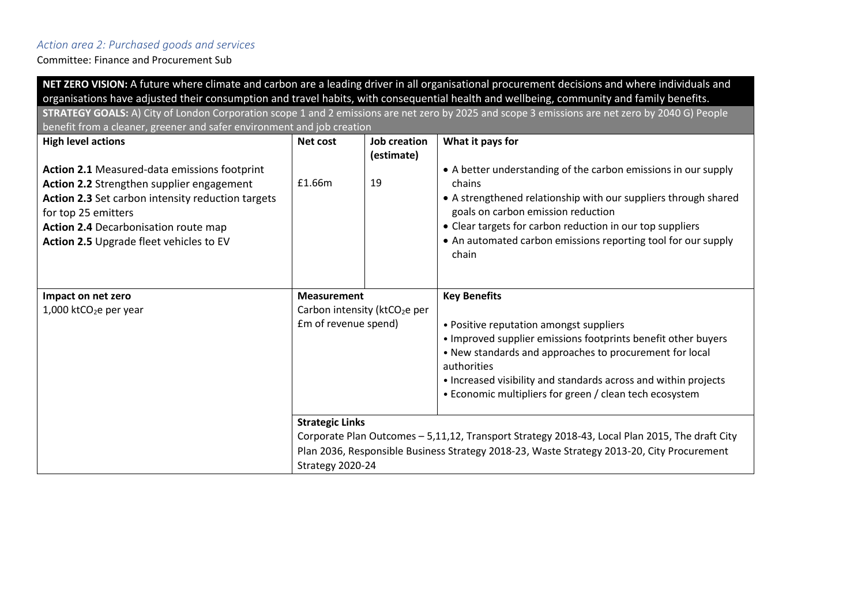# *Action area 2: Purchased goods and services*

Committee: Finance and Procurement Sub

| NET ZERO VISION: A future where climate and carbon are a leading driver in all organisational procurement decisions and where individuals and                                                                                                                          |                                           |                                   |                                                                                                                                                                                                                                                                                                                          |  |  |  |  |
|------------------------------------------------------------------------------------------------------------------------------------------------------------------------------------------------------------------------------------------------------------------------|-------------------------------------------|-----------------------------------|--------------------------------------------------------------------------------------------------------------------------------------------------------------------------------------------------------------------------------------------------------------------------------------------------------------------------|--|--|--|--|
| organisations have adjusted their consumption and travel habits, with consequential health and wellbeing, community and family benefits.                                                                                                                               |                                           |                                   |                                                                                                                                                                                                                                                                                                                          |  |  |  |  |
| STRATEGY GOALS: A) City of London Corporation scope 1 and 2 emissions are net zero by 2025 and scope 3 emissions are net zero by 2040 G) People                                                                                                                        |                                           |                                   |                                                                                                                                                                                                                                                                                                                          |  |  |  |  |
| benefit from a cleaner, greener and safer environment and job creation                                                                                                                                                                                                 |                                           |                                   |                                                                                                                                                                                                                                                                                                                          |  |  |  |  |
| <b>High level actions</b>                                                                                                                                                                                                                                              | Net cost                                  | <b>Job creation</b><br>(estimate) | What it pays for                                                                                                                                                                                                                                                                                                         |  |  |  |  |
| <b>Action 2.1 Measured-data emissions footprint</b><br>Action 2.2 Strengthen supplier engagement<br>Action 2.3 Set carbon intensity reduction targets<br>for top 25 emitters<br><b>Action 2.4 Decarbonisation route map</b><br>Action 2.5 Upgrade fleet vehicles to EV | £1.66m                                    | 19                                | • A better understanding of the carbon emissions in our supply<br>chains<br>• A strengthened relationship with our suppliers through shared<br>goals on carbon emission reduction<br>• Clear targets for carbon reduction in our top suppliers<br>• An automated carbon emissions reporting tool for our supply<br>chain |  |  |  |  |
| Impact on net zero                                                                                                                                                                                                                                                     | <b>Measurement</b>                        |                                   | <b>Key Benefits</b>                                                                                                                                                                                                                                                                                                      |  |  |  |  |
| 1,000 ktCO <sub>2</sub> e per year                                                                                                                                                                                                                                     | Carbon intensity (ktCO <sub>2</sub> e per |                                   |                                                                                                                                                                                                                                                                                                                          |  |  |  |  |
|                                                                                                                                                                                                                                                                        | Em of revenue spend)                      |                                   | • Positive reputation amongst suppliers<br>• Improved supplier emissions footprints benefit other buyers<br>• New standards and approaches to procurement for local<br>authorities<br>• Increased visibility and standards across and within projects<br>• Economic multipliers for green / clean tech ecosystem         |  |  |  |  |
|                                                                                                                                                                                                                                                                        | <b>Strategic Links</b>                    |                                   |                                                                                                                                                                                                                                                                                                                          |  |  |  |  |
|                                                                                                                                                                                                                                                                        |                                           |                                   | Corporate Plan Outcomes - 5,11,12, Transport Strategy 2018-43, Local Plan 2015, The draft City                                                                                                                                                                                                                           |  |  |  |  |
|                                                                                                                                                                                                                                                                        |                                           |                                   | Plan 2036, Responsible Business Strategy 2018-23, Waste Strategy 2013-20, City Procurement                                                                                                                                                                                                                               |  |  |  |  |
|                                                                                                                                                                                                                                                                        | Strategy 2020-24                          |                                   |                                                                                                                                                                                                                                                                                                                          |  |  |  |  |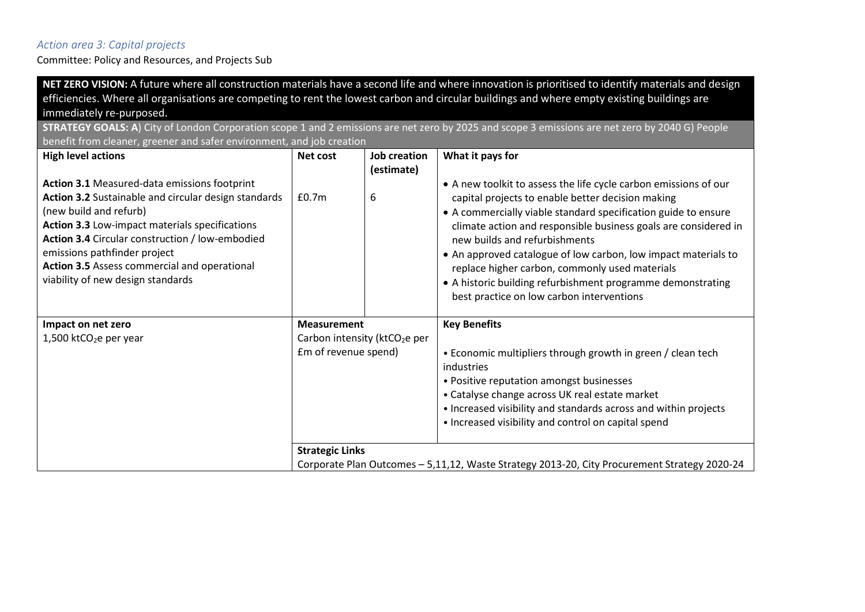#### *Action area 3: Capital projects*

Committee: Policy and Resources, and Projects Sub

**NET ZERO VISION:** A future where all construction materials have a second life and where innovation is prioritised to identify materials and design efficiencies. Where all organisations are competing to rent the lowest carbon and circular buildings and where empty existing buildings are immediately re-purposed.

**STRATEGY GOALS: A**) City of London Corporation scope 1 and 2 emissions are net zero by 2025 and scope 3 emissions are net zero by 2040 G) People benefit from cleaner, greener and safer environment, and job creation

| <b>High level actions</b>                            | Net cost               | Job creation                              | What it pays for                                                                             |
|------------------------------------------------------|------------------------|-------------------------------------------|----------------------------------------------------------------------------------------------|
|                                                      |                        | (estimate)                                |                                                                                              |
| Action 3.1 Measured-data emissions footprint         |                        |                                           | • A new toolkit to assess the life cycle carbon emissions of our                             |
| Action 3.2 Sustainable and circular design standards | £0.7 <sub>m</sub>      | 6                                         | capital projects to enable better decision making                                            |
| (new build and refurb)                               |                        |                                           | • A commercially viable standard specification guide to ensure                               |
| Action 3.3 Low-impact materials specifications       |                        |                                           | climate action and responsible business goals are considered in                              |
| Action 3.4 Circular construction / low-embodied      |                        |                                           | new builds and refurbishments                                                                |
| emissions pathfinder project                         |                        |                                           | • An approved catalogue of low carbon, low impact materials to                               |
| Action 3.5 Assess commercial and operational         |                        |                                           | replace higher carbon, commonly used materials                                               |
| viability of new design standards                    |                        |                                           | • A historic building refurbishment programme demonstrating                                  |
|                                                      |                        |                                           | best practice on low carbon interventions                                                    |
|                                                      |                        |                                           |                                                                                              |
| Impact on net zero                                   | <b>Measurement</b>     |                                           | <b>Key Benefits</b>                                                                          |
| 1,500 ktCO <sub>2</sub> e per year                   |                        | Carbon intensity (ktCO <sub>2</sub> e per |                                                                                              |
|                                                      | Em of revenue spend)   |                                           | • Economic multipliers through growth in green / clean tech                                  |
|                                                      |                        |                                           | industries                                                                                   |
|                                                      |                        |                                           | • Positive reputation amongst businesses                                                     |
|                                                      |                        |                                           | • Catalyse change across UK real estate market                                               |
|                                                      |                        |                                           | • Increased visibility and standards across and within projects                              |
|                                                      |                        |                                           | • Increased visibility and control on capital spend                                          |
|                                                      |                        |                                           |                                                                                              |
|                                                      | <b>Strategic Links</b> |                                           |                                                                                              |
|                                                      |                        |                                           | Corporate Plan Outcomes - 5,11,12, Waste Strategy 2013-20, City Procurement Strategy 2020-24 |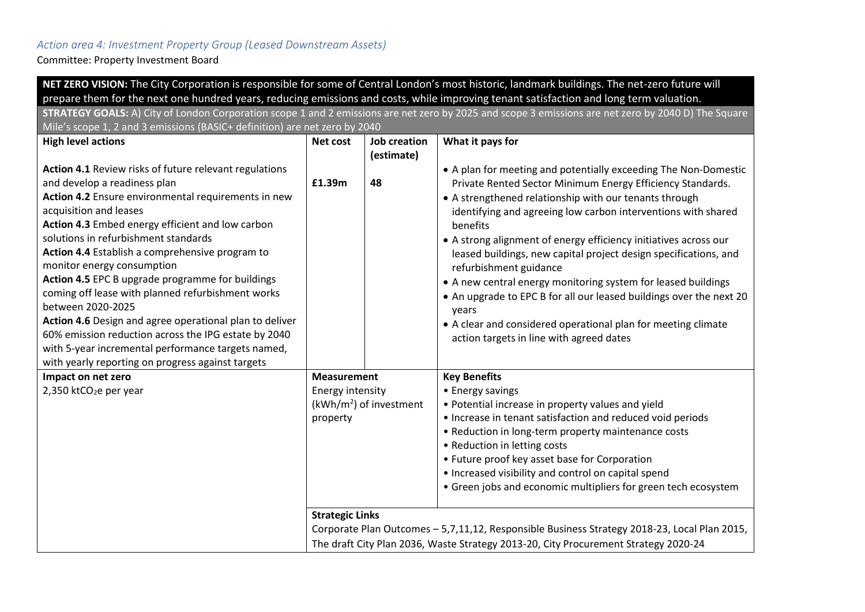# *Action area 4: Investment Property Group (Leased Downstream Assets)*

Committee: Property Investment Board

|                                                                                                                                                                                                                            |                                                                                     |                                   | NET ZERO VISION: The City Corporation is responsible for some of Central London's most historic, landmark buildings. The net-zero future will                                                                                                                                                                                                                                                        |  |  |  |
|----------------------------------------------------------------------------------------------------------------------------------------------------------------------------------------------------------------------------|-------------------------------------------------------------------------------------|-----------------------------------|------------------------------------------------------------------------------------------------------------------------------------------------------------------------------------------------------------------------------------------------------------------------------------------------------------------------------------------------------------------------------------------------------|--|--|--|
| prepare them for the next one hundred years, reducing emissions and costs, while improving tenant satisfaction and long term valuation.                                                                                    |                                                                                     |                                   |                                                                                                                                                                                                                                                                                                                                                                                                      |  |  |  |
| STRATEGY GOALS: A) City of London Corporation scope 1 and 2 emissions are net zero by 2025 and scope 3 emissions are net zero by 2040 D) The Square                                                                        |                                                                                     |                                   |                                                                                                                                                                                                                                                                                                                                                                                                      |  |  |  |
| Mile's scope 1, 2 and 3 emissions (BASIC+ definition) are net zero by 2040                                                                                                                                                 |                                                                                     |                                   |                                                                                                                                                                                                                                                                                                                                                                                                      |  |  |  |
| <b>High level actions</b>                                                                                                                                                                                                  | Net cost                                                                            | <b>Job creation</b><br>(estimate) | What it pays for                                                                                                                                                                                                                                                                                                                                                                                     |  |  |  |
| Action 4.1 Review risks of future relevant regulations<br>and develop a readiness plan                                                                                                                                     | £1.39m                                                                              | 48                                | • A plan for meeting and potentially exceeding The Non-Domestic<br>Private Rented Sector Minimum Energy Efficiency Standards.                                                                                                                                                                                                                                                                        |  |  |  |
| Action 4.2 Ensure environmental requirements in new<br>acquisition and leases<br>Action 4.3 Embed energy efficient and low carbon                                                                                          |                                                                                     |                                   | • A strengthened relationship with our tenants through<br>identifying and agreeing low carbon interventions with shared<br>benefits                                                                                                                                                                                                                                                                  |  |  |  |
| solutions in refurbishment standards<br>Action 4.4 Establish a comprehensive program to<br>monitor energy consumption                                                                                                      |                                                                                     |                                   | • A strong alignment of energy efficiency initiatives across our<br>leased buildings, new capital project design specifications, and<br>refurbishment guidance                                                                                                                                                                                                                                       |  |  |  |
| Action 4.5 EPC B upgrade programme for buildings<br>coming off lease with planned refurbishment works<br>between 2020-2025                                                                                                 |                                                                                     |                                   | • A new central energy monitoring system for leased buildings<br>• An upgrade to EPC B for all our leased buildings over the next 20<br>years                                                                                                                                                                                                                                                        |  |  |  |
| Action 4.6 Design and agree operational plan to deliver<br>60% emission reduction across the IPG estate by 2040<br>with 5-year incremental performance targets named,<br>with yearly reporting on progress against targets |                                                                                     |                                   | • A clear and considered operational plan for meeting climate<br>action targets in line with agreed dates                                                                                                                                                                                                                                                                                            |  |  |  |
| Impact on net zero                                                                                                                                                                                                         | <b>Measurement</b>                                                                  |                                   | <b>Key Benefits</b>                                                                                                                                                                                                                                                                                                                                                                                  |  |  |  |
| 2,350 ktCO <sub>2</sub> e per year                                                                                                                                                                                         | Energy intensity<br>property                                                        | $(kWh/m2)$ of investment          | • Energy savings<br>• Potential increase in property values and yield<br>• Increase in tenant satisfaction and reduced void periods<br>• Reduction in long-term property maintenance costs<br>• Reduction in letting costs<br>• Future proof key asset base for Corporation<br>• Increased visibility and control on capital spend<br>• Green jobs and economic multipliers for green tech ecosystem |  |  |  |
|                                                                                                                                                                                                                            | <b>Strategic Links</b>                                                              |                                   |                                                                                                                                                                                                                                                                                                                                                                                                      |  |  |  |
|                                                                                                                                                                                                                            |                                                                                     |                                   | Corporate Plan Outcomes - 5,7,11,12, Responsible Business Strategy 2018-23, Local Plan 2015,                                                                                                                                                                                                                                                                                                         |  |  |  |
|                                                                                                                                                                                                                            | The draft City Plan 2036, Waste Strategy 2013-20, City Procurement Strategy 2020-24 |                                   |                                                                                                                                                                                                                                                                                                                                                                                                      |  |  |  |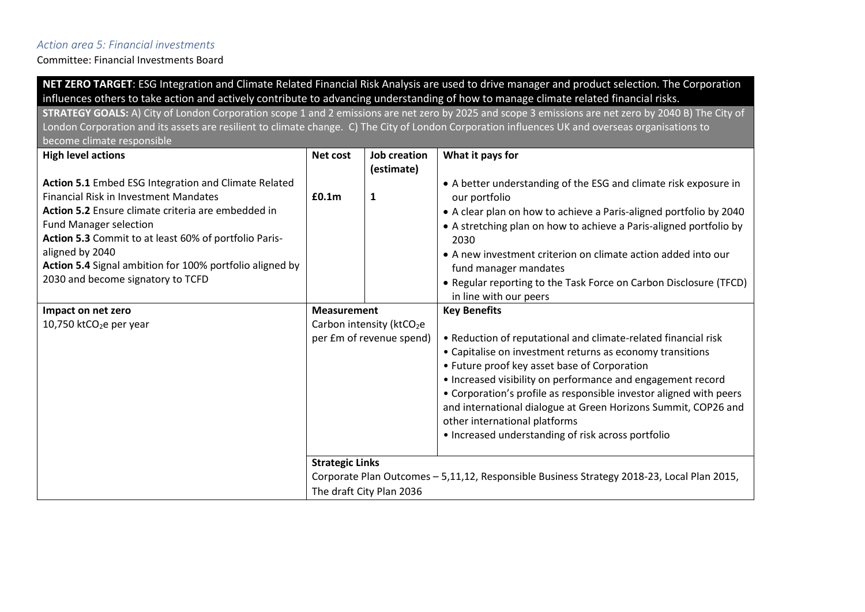#### *Action area 5: Financial investments*

Committee: Financial Investments Board

**NET ZERO TARGET**: ESG Integration and Climate Related Financial Risk Analysis are used to drive manager and product selection. The Corporation influences others to take action and actively contribute to advancing understanding of how to manage climate related financial risks.

**STRATEGY GOALS:** A) City of London Corporation scope 1 and 2 emissions are net zero by 2025 and scope 3 emissions are net zero by 2040 B) The City of London Corporation and its assets are resilient to climate change. C) The City of London Corporation influences UK and overseas organisations to become climate responsible

| <b>High level actions</b>                                                                            | Net cost                 | Job creation                          | What it pays for                                                                           |
|------------------------------------------------------------------------------------------------------|--------------------------|---------------------------------------|--------------------------------------------------------------------------------------------|
|                                                                                                      |                          | (estimate)                            |                                                                                            |
| Action 5.1 Embed ESG Integration and Climate Related<br><b>Financial Risk in Investment Mandates</b> | £0.1 <sub>m</sub>        | 1                                     | • A better understanding of the ESG and climate risk exposure in<br>our portfolio          |
| Action 5.2 Ensure climate criteria are embedded in                                                   |                          |                                       | • A clear plan on how to achieve a Paris-aligned portfolio by 2040                         |
| <b>Fund Manager selection</b>                                                                        |                          |                                       | • A stretching plan on how to achieve a Paris-aligned portfolio by                         |
| Action 5.3 Commit to at least 60% of portfolio Paris-                                                |                          |                                       | 2030                                                                                       |
| aligned by 2040                                                                                      |                          |                                       | • A new investment criterion on climate action added into our                              |
| Action 5.4 Signal ambition for 100% portfolio aligned by                                             |                          |                                       | fund manager mandates                                                                      |
| 2030 and become signatory to TCFD                                                                    |                          |                                       | • Regular reporting to the Task Force on Carbon Disclosure (TFCD)                          |
|                                                                                                      |                          |                                       | in line with our peers                                                                     |
| Impact on net zero                                                                                   | <b>Measurement</b>       |                                       | <b>Key Benefits</b>                                                                        |
| 10,750 ktCO <sub>2</sub> e per year                                                                  |                          | Carbon intensity (ktCO <sub>2</sub> e |                                                                                            |
|                                                                                                      | per £m of revenue spend) |                                       | • Reduction of reputational and climate-related financial risk                             |
|                                                                                                      |                          |                                       | • Capitalise on investment returns as economy transitions                                  |
|                                                                                                      |                          |                                       | • Future proof key asset base of Corporation                                               |
|                                                                                                      |                          |                                       | • Increased visibility on performance and engagement record                                |
|                                                                                                      |                          |                                       | • Corporation's profile as responsible investor aligned with peers                         |
|                                                                                                      |                          |                                       | and international dialogue at Green Horizons Summit, COP26 and                             |
|                                                                                                      |                          |                                       | other international platforms                                                              |
|                                                                                                      |                          |                                       | • Increased understanding of risk across portfolio                                         |
|                                                                                                      | <b>Strategic Links</b>   |                                       |                                                                                            |
|                                                                                                      |                          |                                       | Corporate Plan Outcomes - 5,11,12, Responsible Business Strategy 2018-23, Local Plan 2015, |
|                                                                                                      |                          | The draft City Plan 2036              |                                                                                            |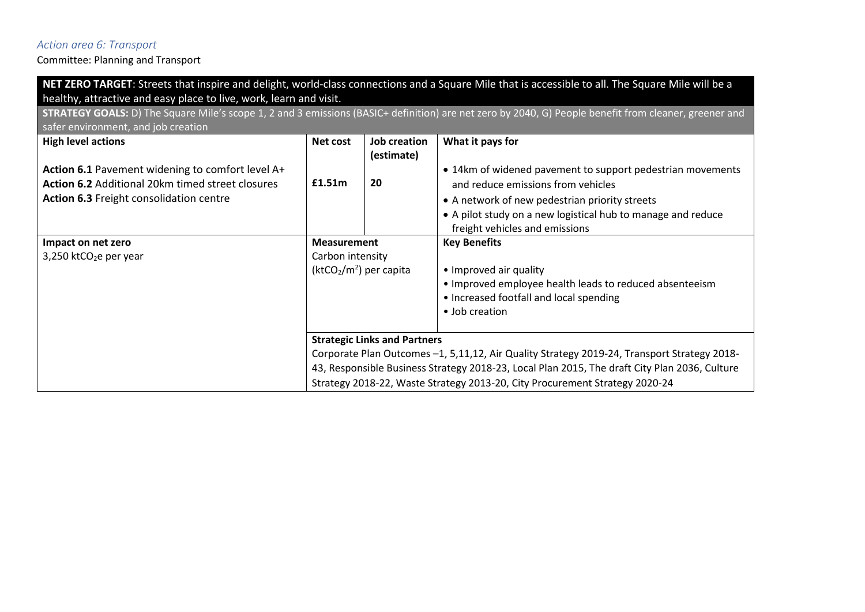### *Action area 6: Transport*

|                                                                    |                         |                                     | NET ZERO TARGET: Streets that inspire and delight, world-class connections and a Square Mile that is accessible to all. The Square Mile will be a     |  |  |  |
|--------------------------------------------------------------------|-------------------------|-------------------------------------|-------------------------------------------------------------------------------------------------------------------------------------------------------|--|--|--|
| healthy, attractive and easy place to live, work, learn and visit. |                         |                                     |                                                                                                                                                       |  |  |  |
|                                                                    |                         |                                     | STRATEGY GOALS: D) The Square Mile's scope 1, 2 and 3 emissions (BASIC+ definition) are net zero by 2040, G) People benefit from cleaner, greener and |  |  |  |
| safer environment, and job creation                                |                         |                                     |                                                                                                                                                       |  |  |  |
| <b>High level actions</b>                                          | Net cost                | <b>Job creation</b><br>(estimate)   | What it pays for                                                                                                                                      |  |  |  |
| Action 6.1 Pavement widening to comfort level A+                   |                         |                                     | • 14km of widened pavement to support pedestrian movements                                                                                            |  |  |  |
| Action 6.2 Additional 20km timed street closures                   | £1.51m                  | 20                                  | and reduce emissions from vehicles                                                                                                                    |  |  |  |
| Action 6.3 Freight consolidation centre                            |                         |                                     | • A network of new pedestrian priority streets                                                                                                        |  |  |  |
|                                                                    |                         |                                     | • A pilot study on a new logistical hub to manage and reduce                                                                                          |  |  |  |
|                                                                    |                         |                                     | freight vehicles and emissions                                                                                                                        |  |  |  |
| Impact on net zero                                                 | <b>Measurement</b>      |                                     | <b>Key Benefits</b>                                                                                                                                   |  |  |  |
| $3,250$ ktCO <sub>2</sub> e per year                               | Carbon intensity        |                                     |                                                                                                                                                       |  |  |  |
|                                                                    | $(ktCO2/m2)$ per capita |                                     | • Improved air quality                                                                                                                                |  |  |  |
|                                                                    |                         |                                     | • Improved employee health leads to reduced absenteeism<br>• Increased footfall and local spending                                                    |  |  |  |
|                                                                    |                         |                                     | • Job creation                                                                                                                                        |  |  |  |
|                                                                    |                         | <b>Strategic Links and Partners</b> |                                                                                                                                                       |  |  |  |
|                                                                    |                         |                                     | Corporate Plan Outcomes -1, 5,11,12, Air Quality Strategy 2019-24, Transport Strategy 2018-                                                           |  |  |  |
|                                                                    |                         |                                     | 43, Responsible Business Strategy 2018-23, Local Plan 2015, The draft City Plan 2036, Culture                                                         |  |  |  |
|                                                                    |                         |                                     | Strategy 2018-22, Waste Strategy 2013-20, City Procurement Strategy 2020-24                                                                           |  |  |  |
|                                                                    |                         |                                     |                                                                                                                                                       |  |  |  |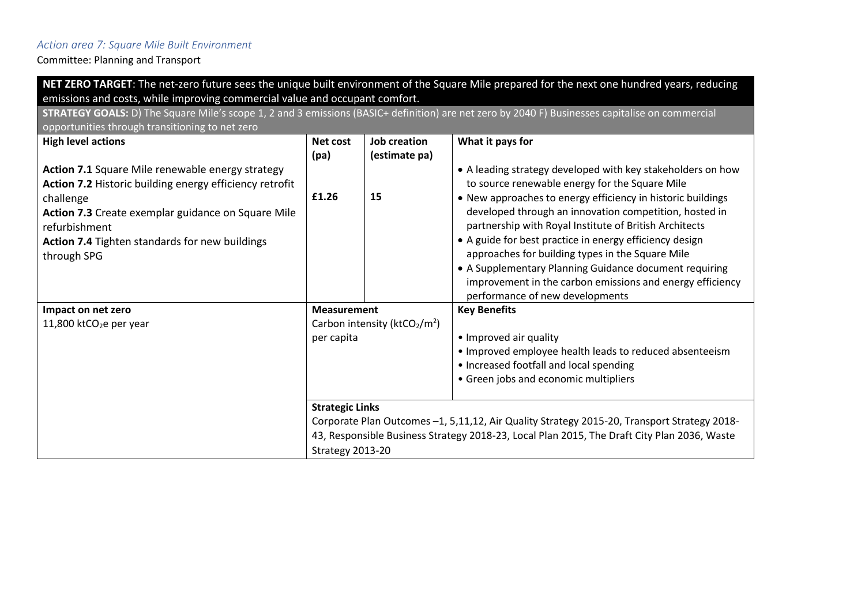# *Action area 7: Square Mile Built Environment*

| NET ZERO TARGET: The net-zero future sees the unique built environment of the Square Mile prepared for the next one hundred years, reducing     |                        |                                 |                                                                                             |  |  |  |  |
|-------------------------------------------------------------------------------------------------------------------------------------------------|------------------------|---------------------------------|---------------------------------------------------------------------------------------------|--|--|--|--|
| emissions and costs, while improving commercial value and occupant comfort.                                                                     |                        |                                 |                                                                                             |  |  |  |  |
| STRATEGY GOALS: D) The Square Mile's scope 1, 2 and 3 emissions (BASIC+ definition) are net zero by 2040 F) Businesses capitalise on commercial |                        |                                 |                                                                                             |  |  |  |  |
| opportunities through transitioning to net zero                                                                                                 |                        |                                 |                                                                                             |  |  |  |  |
| <b>High level actions</b>                                                                                                                       | Net cost               | Job creation                    | What it pays for                                                                            |  |  |  |  |
|                                                                                                                                                 | (pa)                   | (estimate pa)                   |                                                                                             |  |  |  |  |
| Action 7.1 Square Mile renewable energy strategy                                                                                                |                        |                                 | • A leading strategy developed with key stakeholders on how                                 |  |  |  |  |
| Action 7.2 Historic building energy efficiency retrofit                                                                                         |                        |                                 | to source renewable energy for the Square Mile                                              |  |  |  |  |
| challenge                                                                                                                                       | £1.26                  | 15                              | • New approaches to energy efficiency in historic buildings                                 |  |  |  |  |
| Action 7.3 Create exemplar guidance on Square Mile                                                                                              |                        |                                 | developed through an innovation competition, hosted in                                      |  |  |  |  |
| refurbishment                                                                                                                                   |                        |                                 | partnership with Royal Institute of British Architects                                      |  |  |  |  |
| Action 7.4 Tighten standards for new buildings                                                                                                  |                        |                                 | • A guide for best practice in energy efficiency design                                     |  |  |  |  |
| through SPG                                                                                                                                     |                        |                                 | approaches for building types in the Square Mile                                            |  |  |  |  |
|                                                                                                                                                 |                        |                                 | • A Supplementary Planning Guidance document requiring                                      |  |  |  |  |
|                                                                                                                                                 |                        |                                 | improvement in the carbon emissions and energy efficiency                                   |  |  |  |  |
|                                                                                                                                                 |                        |                                 | performance of new developments                                                             |  |  |  |  |
| Impact on net zero                                                                                                                              | <b>Measurement</b>     |                                 | <b>Key Benefits</b>                                                                         |  |  |  |  |
| 11,800 ktCO <sub>2</sub> e per year                                                                                                             |                        | Carbon intensity ( $ktCO2/m2$ ) |                                                                                             |  |  |  |  |
|                                                                                                                                                 | per capita             |                                 | • Improved air quality                                                                      |  |  |  |  |
|                                                                                                                                                 |                        |                                 | . Improved employee health leads to reduced absenteeism                                     |  |  |  |  |
|                                                                                                                                                 |                        |                                 | • Increased footfall and local spending                                                     |  |  |  |  |
|                                                                                                                                                 |                        |                                 | • Green jobs and economic multipliers                                                       |  |  |  |  |
|                                                                                                                                                 | <b>Strategic Links</b> |                                 |                                                                                             |  |  |  |  |
|                                                                                                                                                 |                        |                                 | Corporate Plan Outcomes -1, 5,11,12, Air Quality Strategy 2015-20, Transport Strategy 2018- |  |  |  |  |
|                                                                                                                                                 |                        |                                 | 43, Responsible Business Strategy 2018-23, Local Plan 2015, The Draft City Plan 2036, Waste |  |  |  |  |
|                                                                                                                                                 | Strategy 2013-20       |                                 |                                                                                             |  |  |  |  |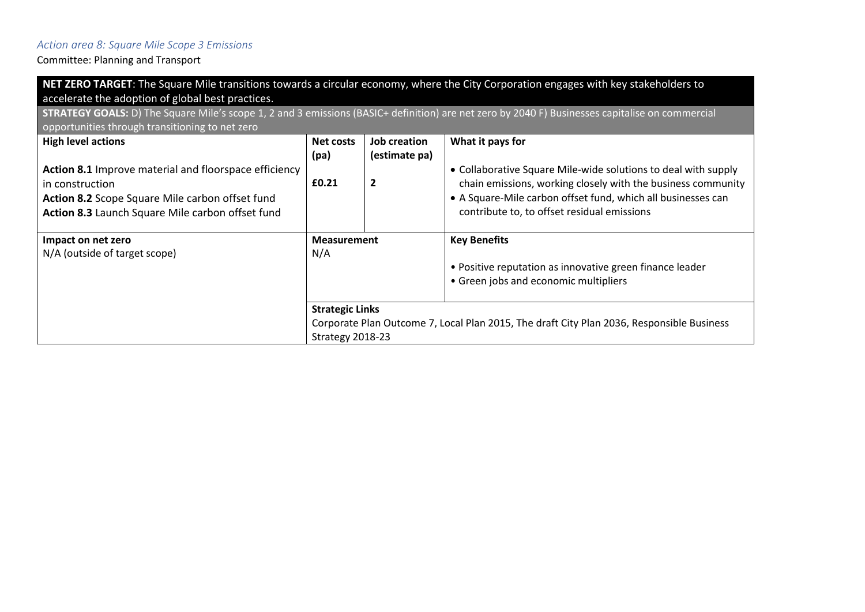# *Action area 8: Square Mile Scope 3 Emissions*

| NET ZERO TARGET: The Square Mile transitions towards a circular economy, where the City Corporation engages with key stakeholders to<br>accelerate the adoption of global best practices. |                        |                     |                                                                                           |  |  |  |
|-------------------------------------------------------------------------------------------------------------------------------------------------------------------------------------------|------------------------|---------------------|-------------------------------------------------------------------------------------------|--|--|--|
| STRATEGY GOALS: D) The Square Mile's scope 1, 2 and 3 emissions (BASIC+ definition) are net zero by 2040 F) Businesses capitalise on commercial                                           |                        |                     |                                                                                           |  |  |  |
| opportunities through transitioning to net zero                                                                                                                                           |                        |                     |                                                                                           |  |  |  |
| <b>High level actions</b>                                                                                                                                                                 | Net costs              | Job creation        | What it pays for                                                                          |  |  |  |
|                                                                                                                                                                                           | (pa)                   | (estimate pa)       |                                                                                           |  |  |  |
| <b>Action 8.1</b> Improve material and floorspace efficiency                                                                                                                              |                        |                     | • Collaborative Square Mile-wide solutions to deal with supply                            |  |  |  |
| in construction                                                                                                                                                                           | £0.21                  | $\overline{2}$      | chain emissions, working closely with the business community                              |  |  |  |
| Action 8.2 Scope Square Mile carbon offset fund                                                                                                                                           |                        |                     | • A Square-Mile carbon offset fund, which all businesses can                              |  |  |  |
| Action 8.3 Launch Square Mile carbon offset fund                                                                                                                                          |                        |                     | contribute to, to offset residual emissions                                               |  |  |  |
|                                                                                                                                                                                           |                        |                     |                                                                                           |  |  |  |
| Impact on net zero                                                                                                                                                                        | <b>Measurement</b>     | <b>Key Benefits</b> |                                                                                           |  |  |  |
| N/A (outside of target scope)                                                                                                                                                             | N/A                    |                     |                                                                                           |  |  |  |
|                                                                                                                                                                                           |                        |                     | • Positive reputation as innovative green finance leader                                  |  |  |  |
|                                                                                                                                                                                           |                        |                     | • Green jobs and economic multipliers                                                     |  |  |  |
|                                                                                                                                                                                           |                        |                     |                                                                                           |  |  |  |
|                                                                                                                                                                                           | <b>Strategic Links</b> |                     |                                                                                           |  |  |  |
|                                                                                                                                                                                           |                        |                     | Corporate Plan Outcome 7, Local Plan 2015, The draft City Plan 2036, Responsible Business |  |  |  |
|                                                                                                                                                                                           | Strategy 2018-23       |                     |                                                                                           |  |  |  |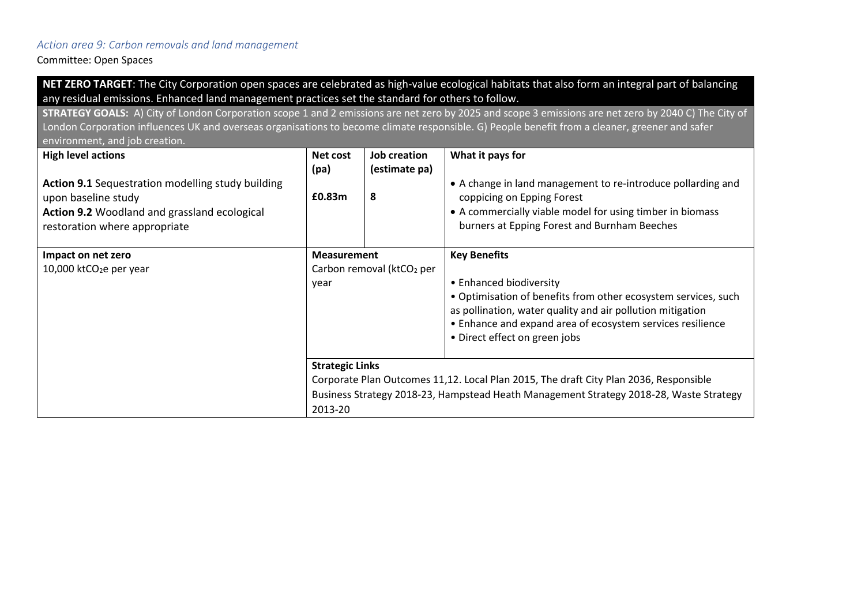#### *Action area 9: Carbon removals and land management*

Committee: Open Spaces

**NET ZERO TARGET**: The City Corporation open spaces are celebrated as high-value ecological habitats that also form an integral part of balancing any residual emissions. Enhanced land management practices set the standard for others to follow.

**STRATEGY GOALS:** A) City of London Corporation scope 1 and 2 emissions are net zero by 2025 and scope 3 emissions are net zero by 2040 C) The City of London Corporation influences UK and overseas organisations to become climate responsible. G) People benefit from a cleaner, greener and safer environment, and job creation

| <b>High level actions</b><br><b>Action 9.1</b> Sequestration modelling study building<br>upon baseline study<br>Action 9.2 Woodland and grassland ecological<br>restoration where appropriate | Net cost<br>(pa)<br>£0.83m                              | <b>Job creation</b><br>(estimate pa)<br>8 | What it pays for<br>• A change in land management to re-introduce pollarding and<br>coppicing on Epping Forest<br>• A commercially viable model for using timber in biomass<br>burners at Epping Forest and Burnham Beeches                                                   |
|-----------------------------------------------------------------------------------------------------------------------------------------------------------------------------------------------|---------------------------------------------------------|-------------------------------------------|-------------------------------------------------------------------------------------------------------------------------------------------------------------------------------------------------------------------------------------------------------------------------------|
| Impact on net zero<br>10,000 ktCO <sub>2</sub> e per year                                                                                                                                     | <b>Measurement</b><br>Carbon removal (ktCO2 per<br>year |                                           | <b>Key Benefits</b><br>• Enhanced biodiversity<br>• Optimisation of benefits from other ecosystem services, such<br>as pollination, water quality and air pollution mitigation<br>• Enhance and expand area of ecosystem services resilience<br>• Direct effect on green jobs |
|                                                                                                                                                                                               | <b>Strategic Links</b><br>2013-20                       |                                           | Corporate Plan Outcomes 11,12. Local Plan 2015, The draft City Plan 2036, Responsible<br>Business Strategy 2018-23, Hampstead Heath Management Strategy 2018-28, Waste Strategy                                                                                               |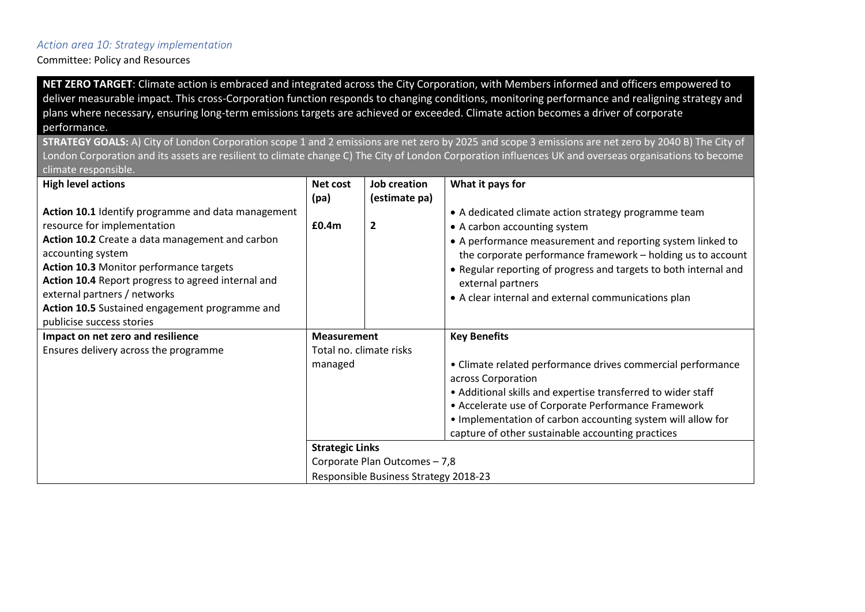#### *Action area 10: Strategy implementation*

Committee: Policy and Resources

**NET ZERO TARGET**: Climate action is embraced and integrated across the City Corporation, with Members informed and officers empowered to deliver measurable impact. This cross-Corporation function responds to changing conditions, monitoring performance and realigning strategy and plans where necessary, ensuring long-term emissions targets are achieved or exceeded. Climate action becomes a driver of corporate performance.

**STRATEGY GOALS:** A) City of London Corporation scope 1 and 2 emissions are net zero by 2025 and scope 3 emissions are net zero by 2040 B) The City of London Corporation and its assets are resilient to climate change C) The City of London Corporation influences UK and overseas organisations to become climate responsible.

| <b>High level actions</b>                          | Net cost                | Job creation                  | What it pays for                                                 |
|----------------------------------------------------|-------------------------|-------------------------------|------------------------------------------------------------------|
|                                                    | (pa)                    | (estimate pa)                 |                                                                  |
| Action 10.1 Identify programme and data management |                         |                               | • A dedicated climate action strategy programme team             |
| resource for implementation                        | £0.4m                   | $\overline{2}$                | • A carbon accounting system                                     |
| Action 10.2 Create a data management and carbon    |                         |                               | • A performance measurement and reporting system linked to       |
| accounting system                                  |                         |                               | the corporate performance framework - holding us to account      |
| Action 10.3 Monitor performance targets            |                         |                               | • Regular reporting of progress and targets to both internal and |
| Action 10.4 Report progress to agreed internal and |                         |                               | external partners                                                |
| external partners / networks                       |                         |                               | • A clear internal and external communications plan              |
| Action 10.5 Sustained engagement programme and     |                         |                               |                                                                  |
| publicise success stories                          |                         |                               |                                                                  |
|                                                    | <b>Measurement</b>      |                               |                                                                  |
| Impact on net zero and resilience                  |                         |                               | <b>Key Benefits</b>                                              |
| Ensures delivery across the programme              | Total no. climate risks |                               |                                                                  |
|                                                    | managed                 |                               | • Climate related performance drives commercial performance      |
|                                                    |                         |                               | across Corporation                                               |
|                                                    |                         |                               | • Additional skills and expertise transferred to wider staff     |
|                                                    |                         |                               | • Accelerate use of Corporate Performance Framework              |
|                                                    |                         |                               | . Implementation of carbon accounting system will allow for      |
|                                                    |                         |                               | capture of other sustainable accounting practices                |
|                                                    | <b>Strategic Links</b>  |                               |                                                                  |
|                                                    |                         | Corporate Plan Outcomes - 7,8 |                                                                  |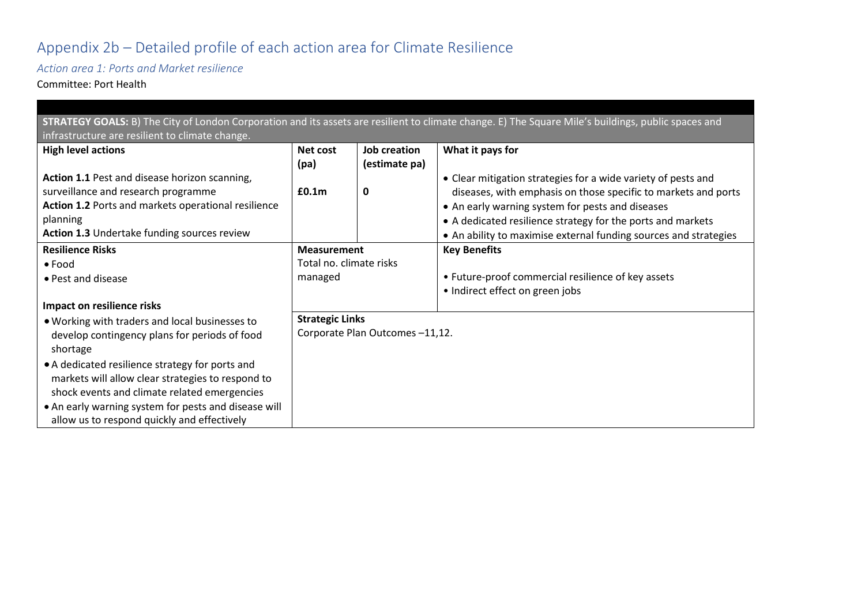# Appendix 2b – Detailed profile of each action area for Climate Resilience

*Action area 1: Ports and Market resilience*

Committee: Port Health

| STRATEGY GOALS: B) The City of London Corporation and its assets are resilient to climate change. E) The Square Mile's buildings, public spaces and |                         |                                |                                                                  |  |  |  |  |
|-----------------------------------------------------------------------------------------------------------------------------------------------------|-------------------------|--------------------------------|------------------------------------------------------------------|--|--|--|--|
| infrastructure are resilient to climate change.                                                                                                     |                         |                                |                                                                  |  |  |  |  |
| <b>High level actions</b>                                                                                                                           | Net cost                | Job creation                   | What it pays for                                                 |  |  |  |  |
|                                                                                                                                                     | (pa)                    | (estimate pa)                  |                                                                  |  |  |  |  |
| Action 1.1 Pest and disease horizon scanning,                                                                                                       |                         |                                | • Clear mitigation strategies for a wide variety of pests and    |  |  |  |  |
| surveillance and research programme                                                                                                                 | £0.1 <sub>m</sub>       | 0                              | diseases, with emphasis on those specific to markets and ports   |  |  |  |  |
| Action 1.2 Ports and markets operational resilience                                                                                                 |                         |                                | • An early warning system for pests and diseases                 |  |  |  |  |
| planning                                                                                                                                            |                         |                                | • A dedicated resilience strategy for the ports and markets      |  |  |  |  |
| Action 1.3 Undertake funding sources review                                                                                                         |                         |                                | • An ability to maximise external funding sources and strategies |  |  |  |  |
| <b>Resilience Risks</b>                                                                                                                             | <b>Measurement</b>      |                                | <b>Key Benefits</b>                                              |  |  |  |  |
| $\bullet$ Food                                                                                                                                      | Total no. climate risks |                                |                                                                  |  |  |  |  |
| • Pest and disease                                                                                                                                  | managed                 |                                | • Future-proof commercial resilience of key assets               |  |  |  |  |
|                                                                                                                                                     |                         |                                | • Indirect effect on green jobs                                  |  |  |  |  |
| Impact on resilience risks                                                                                                                          |                         |                                |                                                                  |  |  |  |  |
| . Working with traders and local businesses to                                                                                                      | <b>Strategic Links</b>  |                                |                                                                  |  |  |  |  |
| develop contingency plans for periods of food                                                                                                       |                         | Corporate Plan Outcomes-11,12. |                                                                  |  |  |  |  |
| shortage                                                                                                                                            |                         |                                |                                                                  |  |  |  |  |
| • A dedicated resilience strategy for ports and                                                                                                     |                         |                                |                                                                  |  |  |  |  |
| markets will allow clear strategies to respond to                                                                                                   |                         |                                |                                                                  |  |  |  |  |
| shock events and climate related emergencies                                                                                                        |                         |                                |                                                                  |  |  |  |  |
| • An early warning system for pests and disease will                                                                                                |                         |                                |                                                                  |  |  |  |  |
| allow us to respond quickly and effectively                                                                                                         |                         |                                |                                                                  |  |  |  |  |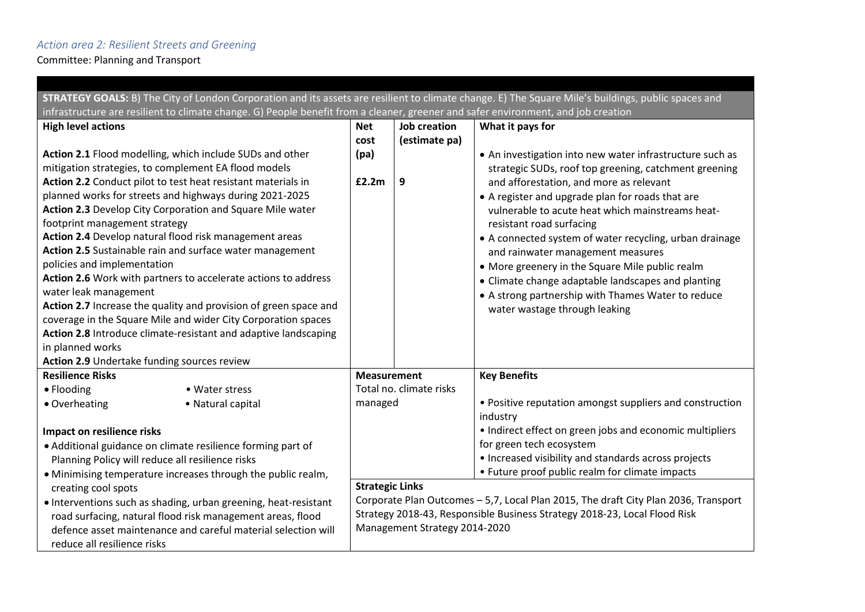## *Action area 2: Resilient Streets and Greening*

|                                                                                                                                   |                                                                  |                                               |                                                                                     | STRATEGY GOALS: B) The City of London Corporation and its assets are resilient to climate change. E) The Square Mile's buildings, public spaces and |  |  |
|-----------------------------------------------------------------------------------------------------------------------------------|------------------------------------------------------------------|-----------------------------------------------|-------------------------------------------------------------------------------------|-----------------------------------------------------------------------------------------------------------------------------------------------------|--|--|
| infrastructure are resilient to climate change. G) People benefit from a cleaner, greener and safer environment, and job creation |                                                                  |                                               |                                                                                     |                                                                                                                                                     |  |  |
| <b>High level actions</b>                                                                                                         |                                                                  | <b>Net</b>                                    | <b>Job creation</b>                                                                 | What it pays for                                                                                                                                    |  |  |
|                                                                                                                                   |                                                                  | cost                                          | (estimate pa)                                                                       |                                                                                                                                                     |  |  |
|                                                                                                                                   | Action 2.1 Flood modelling, which include SUDs and other         | (pa)                                          |                                                                                     | • An investigation into new water infrastructure such as                                                                                            |  |  |
|                                                                                                                                   | mitigation strategies, to complement EA flood models             |                                               |                                                                                     | strategic SUDs, roof top greening, catchment greening                                                                                               |  |  |
|                                                                                                                                   | Action 2.2 Conduct pilot to test heat resistant materials in     | £2.2m                                         | 9                                                                                   | and afforestation, and more as relevant                                                                                                             |  |  |
|                                                                                                                                   | planned works for streets and highways during 2021-2025          |                                               |                                                                                     | • A register and upgrade plan for roads that are                                                                                                    |  |  |
|                                                                                                                                   | Action 2.3 Develop City Corporation and Square Mile water        |                                               |                                                                                     | vulnerable to acute heat which mainstreams heat-                                                                                                    |  |  |
| footprint management strategy                                                                                                     |                                                                  |                                               |                                                                                     | resistant road surfacing                                                                                                                            |  |  |
|                                                                                                                                   | Action 2.4 Develop natural flood risk management areas           |                                               |                                                                                     | • A connected system of water recycling, urban drainage                                                                                             |  |  |
|                                                                                                                                   | Action 2.5 Sustainable rain and surface water management         |                                               |                                                                                     | and rainwater management measures                                                                                                                   |  |  |
| policies and implementation                                                                                                       |                                                                  |                                               |                                                                                     | • More greenery in the Square Mile public realm                                                                                                     |  |  |
|                                                                                                                                   | Action 2.6 Work with partners to accelerate actions to address   |                                               |                                                                                     | • Climate change adaptable landscapes and planting                                                                                                  |  |  |
| water leak management                                                                                                             |                                                                  |                                               |                                                                                     | • A strong partnership with Thames Water to reduce                                                                                                  |  |  |
|                                                                                                                                   | Action 2.7 Increase the quality and provision of green space and |                                               |                                                                                     | water wastage through leaking                                                                                                                       |  |  |
|                                                                                                                                   | coverage in the Square Mile and wider City Corporation spaces    |                                               |                                                                                     |                                                                                                                                                     |  |  |
|                                                                                                                                   | Action 2.8 Introduce climate-resistant and adaptive landscaping  |                                               |                                                                                     |                                                                                                                                                     |  |  |
| in planned works                                                                                                                  |                                                                  |                                               |                                                                                     |                                                                                                                                                     |  |  |
| Action 2.9 Undertake funding sources review                                                                                       |                                                                  |                                               |                                                                                     |                                                                                                                                                     |  |  |
| <b>Resilience Risks</b>                                                                                                           |                                                                  | <b>Measurement</b><br>Total no. climate risks |                                                                                     | <b>Key Benefits</b>                                                                                                                                 |  |  |
| • Flooding                                                                                                                        | • Water stress                                                   |                                               |                                                                                     |                                                                                                                                                     |  |  |
| • Overheating                                                                                                                     | • Natural capital                                                | managed                                       |                                                                                     | • Positive reputation amongst suppliers and construction                                                                                            |  |  |
|                                                                                                                                   |                                                                  |                                               |                                                                                     | industry                                                                                                                                            |  |  |
| Impact on resilience risks                                                                                                        |                                                                  |                                               |                                                                                     | • Indirect effect on green jobs and economic multipliers                                                                                            |  |  |
|                                                                                                                                   | • Additional guidance on climate resilience forming part of      |                                               |                                                                                     | for green tech ecosystem                                                                                                                            |  |  |
|                                                                                                                                   | Planning Policy will reduce all resilience risks                 |                                               |                                                                                     | • Increased visibility and standards across projects                                                                                                |  |  |
| • Minimising temperature increases through the public realm,                                                                      |                                                                  |                                               | • Future proof public realm for climate impacts                                     |                                                                                                                                                     |  |  |
| creating cool spots                                                                                                               |                                                                  | <b>Strategic Links</b>                        |                                                                                     |                                                                                                                                                     |  |  |
|                                                                                                                                   | • Interventions such as shading, urban greening, heat-resistant  |                                               | Corporate Plan Outcomes - 5,7, Local Plan 2015, The draft City Plan 2036, Transport |                                                                                                                                                     |  |  |
|                                                                                                                                   | road surfacing, natural flood risk management areas, flood       |                                               |                                                                                     | Strategy 2018-43, Responsible Business Strategy 2018-23, Local Flood Risk                                                                           |  |  |
|                                                                                                                                   | defence asset maintenance and careful material selection will    |                                               | Management Strategy 2014-2020                                                       |                                                                                                                                                     |  |  |
| reduce all resilience risks                                                                                                       |                                                                  |                                               |                                                                                     |                                                                                                                                                     |  |  |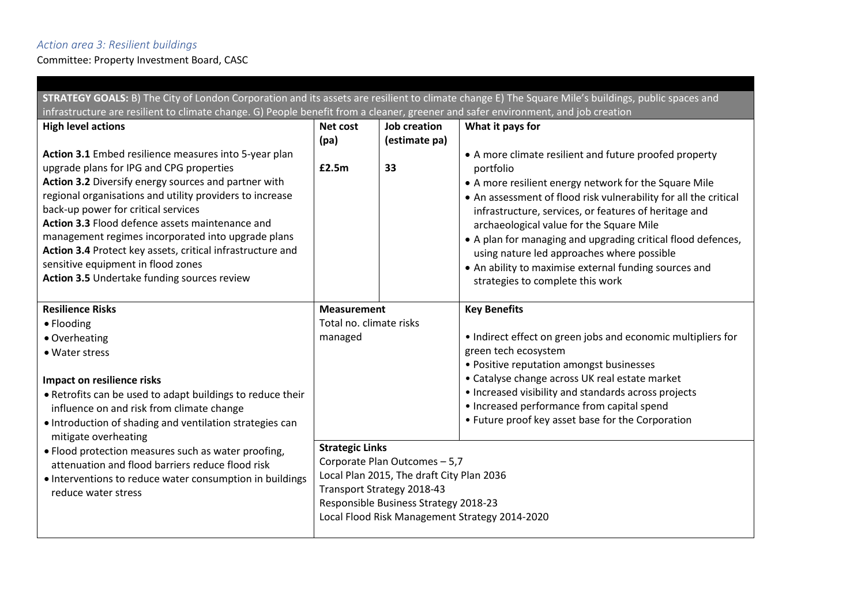## *Action area 3: Resilient buildings*

Committee: Property Investment Board, CASC

| STRATEGY GOALS: B) The City of London Corporation and its assets are resilient to climate change E) The Square Mile's buildings, public spaces and                                                                                                                                                                                                                                                                                                                                                                       |                         |                                                                                                                                                   |                                                                                                                                                                                                                                                                                                                                                                                                                                                                                                                  |  |  |  |  |
|--------------------------------------------------------------------------------------------------------------------------------------------------------------------------------------------------------------------------------------------------------------------------------------------------------------------------------------------------------------------------------------------------------------------------------------------------------------------------------------------------------------------------|-------------------------|---------------------------------------------------------------------------------------------------------------------------------------------------|------------------------------------------------------------------------------------------------------------------------------------------------------------------------------------------------------------------------------------------------------------------------------------------------------------------------------------------------------------------------------------------------------------------------------------------------------------------------------------------------------------------|--|--|--|--|
| infrastructure are resilient to climate change. G) People benefit from a cleaner, greener and safer environment, and job creation                                                                                                                                                                                                                                                                                                                                                                                        |                         |                                                                                                                                                   |                                                                                                                                                                                                                                                                                                                                                                                                                                                                                                                  |  |  |  |  |
| <b>High level actions</b>                                                                                                                                                                                                                                                                                                                                                                                                                                                                                                | Net cost<br>(pa)        | <b>Job creation</b><br>(estimate pa)                                                                                                              | What it pays for                                                                                                                                                                                                                                                                                                                                                                                                                                                                                                 |  |  |  |  |
| Action 3.1 Embed resilience measures into 5-year plan<br>upgrade plans for IPG and CPG properties<br>Action 3.2 Diversify energy sources and partner with<br>regional organisations and utility providers to increase<br>back-up power for critical services<br>Action 3.3 Flood defence assets maintenance and<br>management regimes incorporated into upgrade plans<br>Action 3.4 Protect key assets, critical infrastructure and<br>sensitive equipment in flood zones<br>Action 3.5 Undertake funding sources review | £2.5m                   | 33                                                                                                                                                | • A more climate resilient and future proofed property<br>portfolio<br>• A more resilient energy network for the Square Mile<br>• An assessment of flood risk vulnerability for all the critical<br>infrastructure, services, or features of heritage and<br>archaeological value for the Square Mile<br>• A plan for managing and upgrading critical flood defences,<br>using nature led approaches where possible<br>• An ability to maximise external funding sources and<br>strategies to complete this work |  |  |  |  |
| <b>Resilience Risks</b>                                                                                                                                                                                                                                                                                                                                                                                                                                                                                                  | <b>Measurement</b>      |                                                                                                                                                   | <b>Key Benefits</b>                                                                                                                                                                                                                                                                                                                                                                                                                                                                                              |  |  |  |  |
| • Flooding                                                                                                                                                                                                                                                                                                                                                                                                                                                                                                               | Total no. climate risks |                                                                                                                                                   |                                                                                                                                                                                                                                                                                                                                                                                                                                                                                                                  |  |  |  |  |
| • Overheating                                                                                                                                                                                                                                                                                                                                                                                                                                                                                                            | managed                 |                                                                                                                                                   | • Indirect effect on green jobs and economic multipliers for                                                                                                                                                                                                                                                                                                                                                                                                                                                     |  |  |  |  |
| • Water stress                                                                                                                                                                                                                                                                                                                                                                                                                                                                                                           |                         |                                                                                                                                                   | green tech ecosystem                                                                                                                                                                                                                                                                                                                                                                                                                                                                                             |  |  |  |  |
| Impact on resilience risks<br>. Retrofits can be used to adapt buildings to reduce their<br>influence on and risk from climate change<br>• Introduction of shading and ventilation strategies can<br>mitigate overheating                                                                                                                                                                                                                                                                                                |                         |                                                                                                                                                   | • Positive reputation amongst businesses<br>• Catalyse change across UK real estate market<br>• Increased visibility and standards across projects<br>• Increased performance from capital spend<br>• Future proof key asset base for the Corporation                                                                                                                                                                                                                                                            |  |  |  |  |
| . Flood protection measures such as water proofing,<br>attenuation and flood barriers reduce flood risk<br>• Interventions to reduce water consumption in buildings<br>reduce water stress                                                                                                                                                                                                                                                                                                                               | <b>Strategic Links</b>  | Corporate Plan Outcomes - 5,7<br>Local Plan 2015, The draft City Plan 2036<br>Transport Strategy 2018-43<br>Responsible Business Strategy 2018-23 | Local Flood Risk Management Strategy 2014-2020                                                                                                                                                                                                                                                                                                                                                                                                                                                                   |  |  |  |  |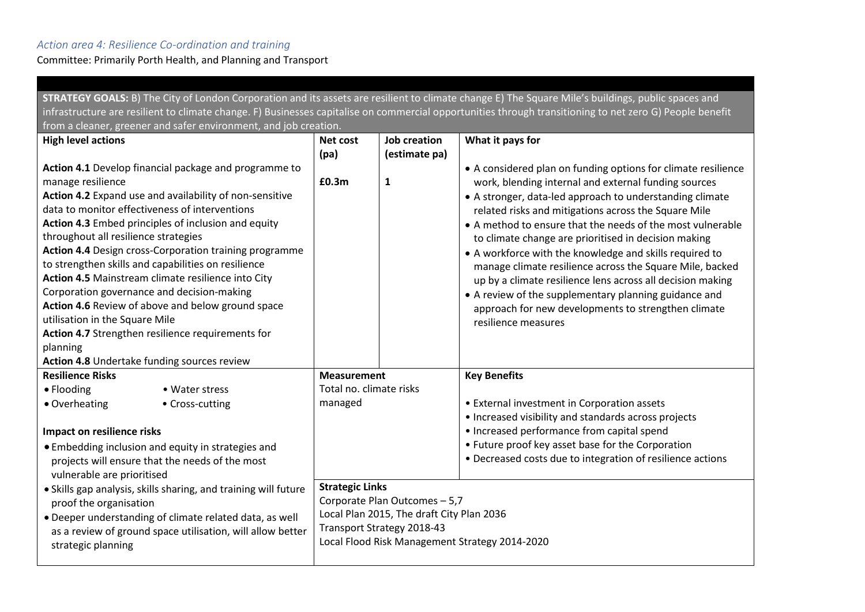## *Action area 4: Resilience Co-ordination and training*

Committee: Primarily Porth Health, and Planning and Transport

| STRATEGY GOALS: B) The City of London Corporation and its assets are resilient to climate change E) The Square Mile's buildings, public spaces and       |                                                                         |                         |                     |                                                                            |  |  |  |
|----------------------------------------------------------------------------------------------------------------------------------------------------------|-------------------------------------------------------------------------|-------------------------|---------------------|----------------------------------------------------------------------------|--|--|--|
| infrastructure are resilient to climate change. F) Businesses capitalise on commercial opportunities through transitioning to net zero G) People benefit |                                                                         |                         |                     |                                                                            |  |  |  |
| from a cleaner, greener and safer environment, and job creation.                                                                                         |                                                                         |                         |                     |                                                                            |  |  |  |
| <b>High level actions</b>                                                                                                                                |                                                                         | Net cost                | <b>Job creation</b> | What it pays for                                                           |  |  |  |
|                                                                                                                                                          |                                                                         | (pa)                    | (estimate pa)       |                                                                            |  |  |  |
|                                                                                                                                                          | Action 4.1 Develop financial package and programme to                   |                         |                     | • A considered plan on funding options for climate resilience              |  |  |  |
| manage resilience                                                                                                                                        |                                                                         | £0.3m                   | $\mathbf{1}$        | work, blending internal and external funding sources                       |  |  |  |
|                                                                                                                                                          | Action 4.2 Expand use and availability of non-sensitive                 |                         |                     | • A stronger, data-led approach to understanding climate                   |  |  |  |
| data to monitor effectiveness of interventions                                                                                                           |                                                                         |                         |                     | related risks and mitigations across the Square Mile                       |  |  |  |
|                                                                                                                                                          | Action 4.3 Embed principles of inclusion and equity                     |                         |                     | • A method to ensure that the needs of the most vulnerable                 |  |  |  |
| throughout all resilience strategies                                                                                                                     |                                                                         |                         |                     | to climate change are prioritised in decision making                       |  |  |  |
| Action 4.4 Design cross-Corporation training programme                                                                                                   |                                                                         |                         |                     | • A workforce with the knowledge and skills required to                    |  |  |  |
| to strengthen skills and capabilities on resilience<br>Action 4.5 Mainstream climate resilience into City                                                |                                                                         |                         |                     | manage climate resilience across the Square Mile, backed                   |  |  |  |
|                                                                                                                                                          | Corporation governance and decision-making                              |                         |                     | up by a climate resilience lens across all decision making                 |  |  |  |
|                                                                                                                                                          | Action 4.6 Review of above and below ground space                       |                         |                     | • A review of the supplementary planning guidance and                      |  |  |  |
| utilisation in the Square Mile                                                                                                                           |                                                                         |                         |                     | approach for new developments to strengthen climate<br>resilience measures |  |  |  |
|                                                                                                                                                          | Action 4.7 Strengthen resilience requirements for                       |                         |                     |                                                                            |  |  |  |
| planning                                                                                                                                                 |                                                                         |                         |                     |                                                                            |  |  |  |
| Action 4.8 Undertake funding sources review                                                                                                              |                                                                         |                         |                     |                                                                            |  |  |  |
| <b>Resilience Risks</b>                                                                                                                                  |                                                                         | <b>Measurement</b>      |                     | <b>Key Benefits</b>                                                        |  |  |  |
| • Flooding                                                                                                                                               | • Water stress                                                          | Total no. climate risks |                     |                                                                            |  |  |  |
| • Overheating                                                                                                                                            | • Cross-cutting                                                         | managed                 |                     | • External investment in Corporation assets                                |  |  |  |
|                                                                                                                                                          |                                                                         |                         |                     | • Increased visibility and standards across projects                       |  |  |  |
| Impact on resilience risks                                                                                                                               |                                                                         |                         |                     | • Increased performance from capital spend                                 |  |  |  |
| • Embedding inclusion and equity in strategies and                                                                                                       |                                                                         |                         |                     | • Future proof key asset base for the Corporation                          |  |  |  |
|                                                                                                                                                          | projects will ensure that the needs of the most                         |                         |                     | • Decreased costs due to integration of resilience actions                 |  |  |  |
| vulnerable are prioritised                                                                                                                               |                                                                         |                         |                     |                                                                            |  |  |  |
|                                                                                                                                                          | · Skills gap analysis, skills sharing, and training will future         | <b>Strategic Links</b>  |                     |                                                                            |  |  |  |
|                                                                                                                                                          | proof the organisation                                                  |                         |                     | Corporate Plan Outcomes - 5,7                                              |  |  |  |
| • Deeper understanding of climate related data, as well                                                                                                  | Local Plan 2015, The draft City Plan 2036<br>Transport Strategy 2018-43 |                         |                     |                                                                            |  |  |  |
| as a review of ground space utilisation, will allow better                                                                                               | Local Flood Risk Management Strategy 2014-2020                          |                         |                     |                                                                            |  |  |  |
| strategic planning                                                                                                                                       |                                                                         |                         |                     |                                                                            |  |  |  |
|                                                                                                                                                          |                                                                         |                         |                     |                                                                            |  |  |  |